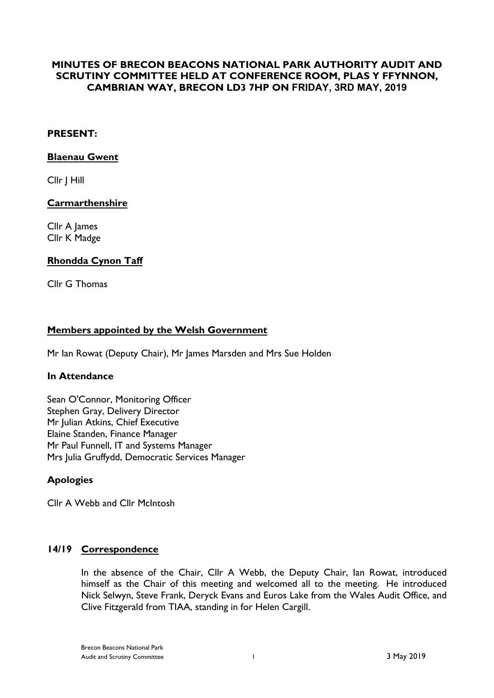# **MINUTES OF BRECON BEACONS NATIONAL PARK AUTHORITY AUDIT AND SCRUTINY COMMITTEE HELD AT CONFERENCE ROOM, PLAS Y FFYNNON, CAMBRIAN WAY, BRECON LD3 7HP ON FRIDAY, 3RD MAY, 2019**

### **PRESENT:**

#### **Blaenau Gwent**

Cllr J Hill

### **Carmarthenshire**

Cllr A James Cllr K Madge

# **Rhondda Cynon Taff**

Cllr G Thomas

# **Members appointed by the Welsh Government**

Mr Ian Rowat (Deputy Chair), Mr James Marsden and Mrs Sue Holden

#### **In Attendance**

Sean O'Connor, Monitoring Officer Stephen Gray, Delivery Director Mr Julian Atkins, Chief Executive Elaine Standen, Finance Manager Mr Paul Funnell, IT and Systems Manager Mrs Julia Gruffydd, Democratic Services Manager

# **Apologies**

Cllr A Webb and Cllr McIntosh

# **14/19 Correspondence**

In the absence of the Chair, Cllr A Webb, the Deputy Chair, Ian Rowat, introduced himself as the Chair of this meeting and welcomed all to the meeting. He introduced Nick Selwyn, Steve Frank, Deryck Evans and Euros Lake from the Wales Audit Office, and Clive Fitzgerald from TIAA, standing in for Helen Cargill.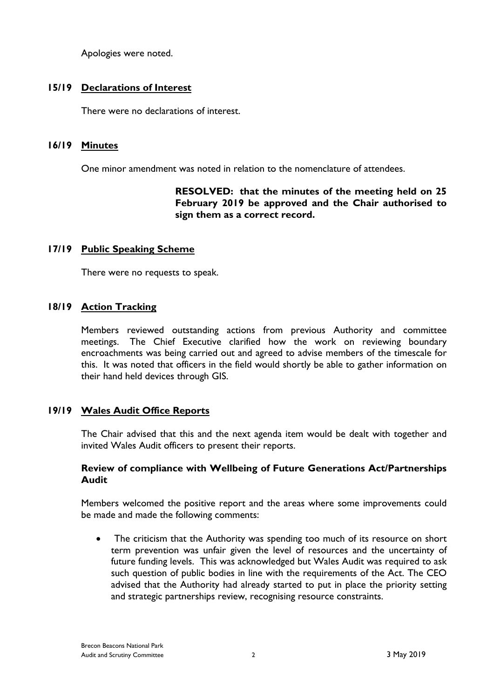Apologies were noted.

# **15/19 Declarations of Interest**

There were no declarations of interest.

### **16/19 Minutes**

One minor amendment was noted in relation to the nomenclature of attendees.

# **RESOLVED: that the minutes of the meeting held on 25 February 2019 be approved and the Chair authorised to sign them as a correct record.**

# **17/19 Public Speaking Scheme**

There were no requests to speak.

# **18/19 Action Tracking**

Members reviewed outstanding actions from previous Authority and committee meetings. The Chief Executive clarified how the work on reviewing boundary encroachments was being carried out and agreed to advise members of the timescale for this. It was noted that officers in the field would shortly be able to gather information on their hand held devices through GIS.

# **19/19 Wales Audit Office Reports**

The Chair advised that this and the next agenda item would be dealt with together and invited Wales Audit officers to present their reports.

### **Review of compliance with Wellbeing of Future Generations Act/Partnerships Audit**

Members welcomed the positive report and the areas where some improvements could be made and made the following comments:

• The criticism that the Authority was spending too much of its resource on short term prevention was unfair given the level of resources and the uncertainty of future funding levels. This was acknowledged but Wales Audit was required to ask such question of public bodies in line with the requirements of the Act. The CEO advised that the Authority had already started to put in place the priority setting and strategic partnerships review, recognising resource constraints.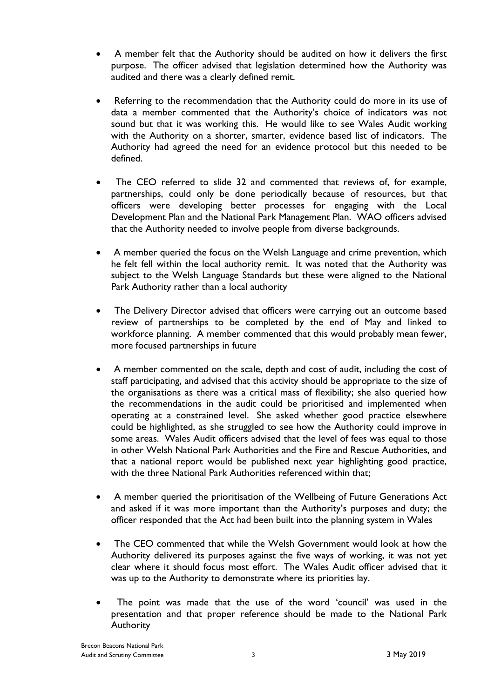- A member felt that the Authority should be audited on how it delivers the first purpose. The officer advised that legislation determined how the Authority was audited and there was a clearly defined remit.
- Referring to the recommendation that the Authority could do more in its use of data a member commented that the Authority's choice of indicators was not sound but that it was working this. He would like to see Wales Audit working with the Authority on a shorter, smarter, evidence based list of indicators. The Authority had agreed the need for an evidence protocol but this needed to be defined.
- The CEO referred to slide 32 and commented that reviews of, for example, partnerships, could only be done periodically because of resources, but that officers were developing better processes for engaging with the Local Development Plan and the National Park Management Plan. WAO officers advised that the Authority needed to involve people from diverse backgrounds.
- A member queried the focus on the Welsh Language and crime prevention, which he felt fell within the local authority remit. It was noted that the Authority was subject to the Welsh Language Standards but these were aligned to the National Park Authority rather than a local authority
- The Delivery Director advised that officers were carrying out an outcome based review of partnerships to be completed by the end of May and linked to workforce planning. A member commented that this would probably mean fewer, more focused partnerships in future
- A member commented on the scale, depth and cost of audit, including the cost of staff participating, and advised that this activity should be appropriate to the size of the organisations as there was a critical mass of flexibility; she also queried how the recommendations in the audit could be prioritised and implemented when operating at a constrained level. She asked whether good practice elsewhere could be highlighted, as she struggled to see how the Authority could improve in some areas. Wales Audit officers advised that the level of fees was equal to those in other Welsh National Park Authorities and the Fire and Rescue Authorities, and that a national report would be published next year highlighting good practice, with the three National Park Authorities referenced within that;
- A member queried the prioritisation of the Wellbeing of Future Generations Act and asked if it was more important than the Authority's purposes and duty; the officer responded that the Act had been built into the planning system in Wales
- The CEO commented that while the Welsh Government would look at how the Authority delivered its purposes against the five ways of working, it was not yet clear where it should focus most effort. The Wales Audit officer advised that it was up to the Authority to demonstrate where its priorities lay.
- The point was made that the use of the word 'council' was used in the presentation and that proper reference should be made to the National Park Authority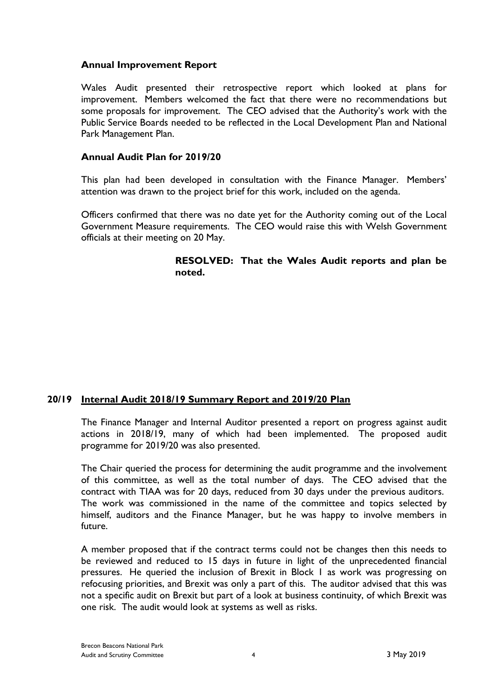### **Annual Improvement Report**

Wales Audit presented their retrospective report which looked at plans for improvement. Members welcomed the fact that there were no recommendations but some proposals for improvement. The CEO advised that the Authority's work with the Public Service Boards needed to be reflected in the Local Development Plan and National Park Management Plan.

### **Annual Audit Plan for 2019/20**

This plan had been developed in consultation with the Finance Manager. Members' attention was drawn to the project brief for this work, included on the agenda.

Officers confirmed that there was no date yet for the Authority coming out of the Local Government Measure requirements. The CEO would raise this with Welsh Government officials at their meeting on 20 May.

> **RESOLVED: That the Wales Audit reports and plan be noted.**

# **20/19 Internal Audit 2018/19 Summary Report and 2019/20 Plan**

The Finance Manager and Internal Auditor presented a report on progress against audit actions in 2018/19, many of which had been implemented. The proposed audit programme for 2019/20 was also presented.

The Chair queried the process for determining the audit programme and the involvement of this committee, as well as the total number of days. The CEO advised that the contract with TIAA was for 20 days, reduced from 30 days under the previous auditors. The work was commissioned in the name of the committee and topics selected by himself, auditors and the Finance Manager, but he was happy to involve members in future.

A member proposed that if the contract terms could not be changes then this needs to be reviewed and reduced to 15 days in future in light of the unprecedented financial pressures. He queried the inclusion of Brexit in Block 1 as work was progressing on refocusing priorities, and Brexit was only a part of this. The auditor advised that this was not a specific audit on Brexit but part of a look at business continuity, of which Brexit was one risk. The audit would look at systems as well as risks.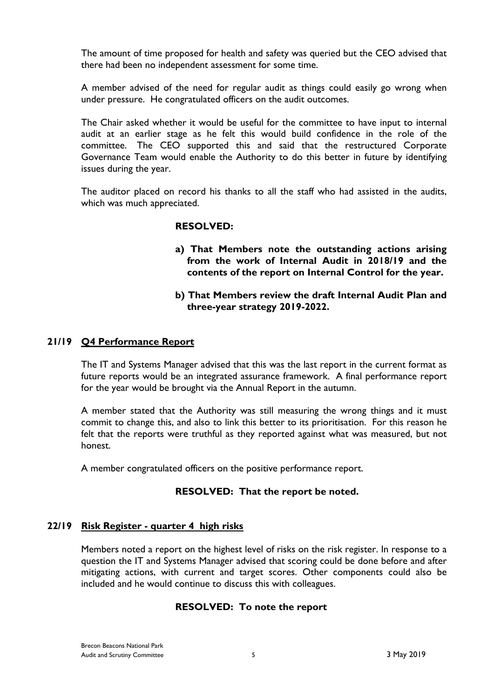The amount of time proposed for health and safety was queried but the CEO advised that there had been no independent assessment for some time.

A member advised of the need for regular audit as things could easily go wrong when under pressure. He congratulated officers on the audit outcomes.

The Chair asked whether it would be useful for the committee to have input to internal audit at an earlier stage as he felt this would build confidence in the role of the committee. The CEO supported this and said that the restructured Corporate Governance Team would enable the Authority to do this better in future by identifying issues during the year.

The auditor placed on record his thanks to all the staff who had assisted in the audits, which was much appreciated.

### **RESOLVED:**

**a) That Members note the outstanding actions arising from the work of Internal Audit in 2018/19 and the contents of the report on Internal Control for the year.**

### **b) That Members review the draft Internal Audit Plan and three-year strategy 2019-2022.**

#### **21/19 Q4 Performance Report**

The IT and Systems Manager advised that this was the last report in the current format as future reports would be an integrated assurance framework. A final performance report for the year would be brought via the Annual Report in the autumn.

A member stated that the Authority was still measuring the wrong things and it must commit to change this, and also to link this better to its prioritisation. For this reason he felt that the reports were truthful as they reported against what was measured, but not honest.

A member congratulated officers on the positive performance report.

#### **RESOLVED: That the report be noted.**

#### **22/19 Risk Register - quarter 4 high risks**

Members noted a report on the highest level of risks on the risk register. In response to a question the IT and Systems Manager advised that scoring could be done before and after mitigating actions, with current and target scores. Other components could also be included and he would continue to discuss this with colleagues.

# **RESOLVED: To note the report**